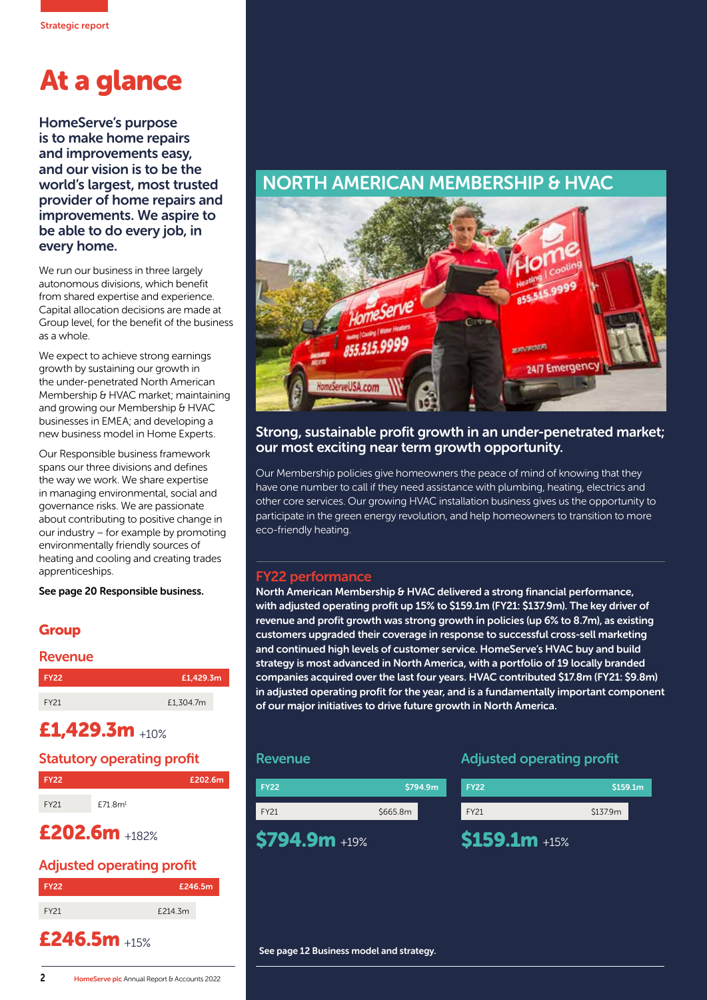# At a glance

HomeServe's purpose is to make home repairs and improvements easy, and our vision is to be the world's largest, most trusted provider of home repairs and improvements. We aspire to be able to do every job, in every home.

We run our business in three largely autonomous divisions, which benefit from shared expertise and experience. Capital allocation decisions are made at Group level, for the benefit of the business as a whole.

We expect to achieve strong earnings growth by sustaining our growth in the under-penetrated North American Membership & HVAC market; maintaining and growing our Membership & HVAC businesses in EMEA; and developing a new business model in Home Experts.

Our Responsible business framework spans our three divisions and defines the way we work. We share expertise in managing environmental, social and governance risks. We are passionate about contributing to positive change in our industry – for example by promoting environmentally friendly sources of heating and cooling and creating trades apprenticeships.

See page 20 Responsible business.

### **Group**

| <b>Revenue</b> |           |
|----------------|-----------|
| <b>FY22</b>    | £1,429.3m |
| FY21           | £1,304.7m |

## £1,429.3m +10%

#### Statutory operating profit



# £202.6m +182%

#### Adjusted operating profit

| <b>FY22</b> | £246.5m |  |
|-------------|---------|--|
| FY21        | £214.3m |  |

# £246.5m +15%

# NORTH AMERICAN MEMBERSHIP & HVAC



#### Strong, sustainable profit growth in an under-penetrated market; our most exciting near term growth opportunity.

Our Membership policies give homeowners the peace of mind of knowing that they have one number to call if they need assistance with plumbing, heating, electrics and other core services. Our growing HVAC installation business gives us the opportunity to participate in the green energy revolution, and help homeowners to transition to more eco-friendly heating.

#### FY22 performance

North American Membership & HVAC delivered a strong financial performance, with adjusted operating profit up 15% to \$159.1m (FY21: \$137.9m). The key driver of revenue and profit growth was strong growth in policies (up 6% to 8.7m), as existing customers upgraded their coverage in response to successful cross-sell marketing and continued high levels of customer service. HomeServe's HVAC buy and build strategy is most advanced in North America, with a portfolio of 19 locally branded companies acquired over the last four years. HVAC contributed \$17.8m (FY21: \$9.8m) in adjusted operating profit for the year, and is a fundamentally important component of our major initiatives to drive future growth in North America.

#### Revenue



#### Adjusted operating profit

| FY <sub>22</sub> | \$159.1m |  |
|------------------|----------|--|
| <b>FY21</b>      | \$137.9m |  |
| $$159.1m + 15%$  |          |  |

See page 12 Business model and strategy.